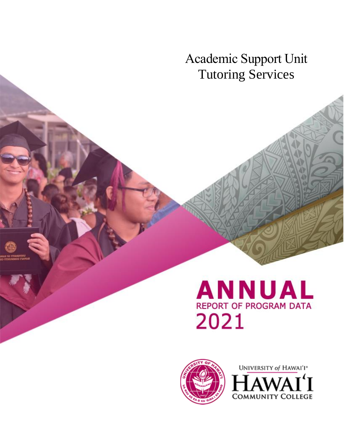Academic Support Unit Tutoring Services

# **ANNUAL REPORT OF PROGRAM DATA** 2021



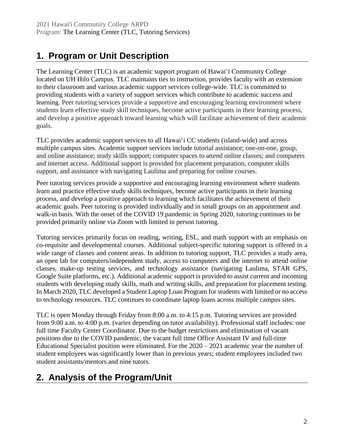# **1. Program or Unit Description**

The Learning Center (TLC) is an academic support program of Hawai'i Community College located on UH Hilo Campus. TLC maintains ties to instruction, provides faculty with an extension to their classroom and various academic support services college-wide. TLC is committed to providing students with a variety of support services which contribute to academic success and learning. Peer tutoring services provide a supportive and encouraging learning environment where students learn effective study skill techniques, become active participants in their learning process, and develop a positive approach toward learning which will facilitate achievement of their academic goals.

TLC provides academic support services to all Hawaiʻi CC students (island-wide) and across multiple campus sites. Academic support services include tutorial assistance; one-on-one, group, and online assistance; study skills support; computer spaces to attend online classes; and computers and internet access. Additional support is provided for placement preparation, computer skills support, and assistance with navigating Laulima and preparing for online courses.

Peer tutoring services provide a supportive and encouraging learning environment where students learn and practice effective study skills techniques, become active participants in their learning process, and develop a positive approach to learning which facilitates the achievement of their academic goals. Peer tutoring is provided individually and in small groups on an appointment and walk-in basis. With the onset of the COVID 19 pandemic in Spring 2020, tutoring continues to be provided primarily online via Zoom with limited in person tutoring.

Tutoring services primarily focus on reading, writing, ESL, and math support with an emphasis on co-requisite and developmental courses. Additional subject-specific tutoring support is offered in a wide range of classes and content areas. In addition to tutoring support, TLC provides a study area, an open lab for computers/independent study, access to computers and the internet to attend online classes, make-up testing services, and technology assistance (navigating Laulima, STAR GPS, Google Suite platforms, etc.). Additional academic support is provided to assist current and incoming students with developing study skills, math and writing skills, and preparation for placement testing. In March 2020, TLC developed a Student Laptop Loan Program for students with limited or no access to technology resources. TLC continues to coordinate laptop loans across multiple campus sites.

TLC is open Monday through Friday from 8:00 a.m. to 4:15 p.m. Tutoring services are provided from 9:00 a.m. to 4:00 p.m. (varies depending on tutor availability). Professional staff includes: one full time Faculty Center Coordinator. Due to the budget restrictions and elimination of vacant positions due to the COVID pandemic, the vacant full time Office Assistant IV and full-time Educational Specialist position were eliminated. For the 2020 – 2021 academic year the number of student employees was significantly lower than in previous years; student employees included two student assistants/mentors and nine tutors.

# **2. Analysis of the Program/Unit**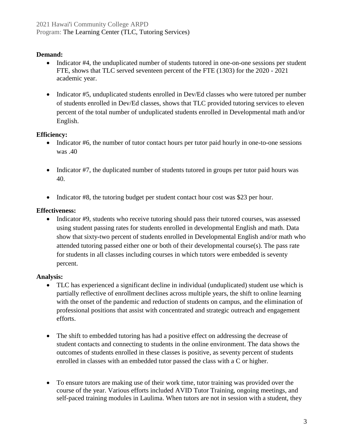#### **Demand:**

- Indicator #4, the unduplicated number of students tutored in one-on-one sessions per student FTE, shows that TLC served seventeen percent of the FTE (1303) for the 2020 - 2021 academic year.
- Indicator #5, unduplicated students enrolled in Dev/Ed classes who were tutored per number of students enrolled in Dev/Ed classes, shows that TLC provided tutoring services to eleven percent of the total number of unduplicated students enrolled in Developmental math and/or English.

#### **Efficiency:**

- Indicator #6, the number of tutor contact hours per tutor paid hourly in one-to-one sessions was .40
- Indicator #7, the duplicated number of students tutored in groups per tutor paid hours was 40.
- Indicator #8, the tutoring budget per student contact hour cost was \$23 per hour.

#### **Effectiveness:**

• Indicator #9, students who receive tutoring should pass their tutored courses, was assessed using student passing rates for students enrolled in developmental English and math. Data show that sixty-two percent of students enrolled in Developmental English and/or math who attended tutoring passed either one or both of their developmental course(s). The pass rate for students in all classes including courses in which tutors were embedded is seventy percent.

#### **Analysis:**

- TLC has experienced a significant decline in individual (unduplicated) student use which is partially reflective of enrollment declines across multiple years, the shift to online learning with the onset of the pandemic and reduction of students on campus, and the elimination of professional positions that assist with concentrated and strategic outreach and engagement efforts.
- The shift to embedded tutoring has had a positive effect on addressing the decrease of student contacts and connecting to students in the online environment. The data shows the outcomes of students enrolled in these classes is positive, as seventy percent of students enrolled in classes with an embedded tutor passed the class with a C or higher.
- To ensure tutors are making use of their work time, tutor training was provided over the course of the year. Various efforts included AVID Tutor Training, ongoing meetings, and self-paced training modules in Laulima. When tutors are not in session with a student, they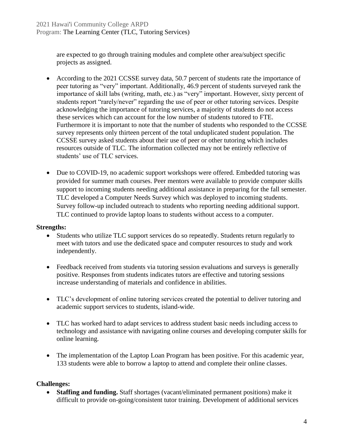are expected to go through training modules and complete other area/subject specific projects as assigned.

- According to the 2021 CCSSE survey data, 50.7 percent of students rate the importance of peer tutoring as "very" important. Additionally, 46.9 percent of students surveyed rank the importance of skill labs (writing, math, etc.) as "very" important. However, sixty percent of students report "rarely/never" regarding the use of peer or other tutoring services. Despite acknowledging the importance of tutoring services, a majority of students do not access these services which can account for the low number of students tutored to FTE. Furthermore it is important to note that the number of students who responded to the CCSSE survey represents only thirteen percent of the total unduplicated student population. The CCSSE survey asked students about their use of peer or other tutoring which includes resources outside of TLC. The information collected may not be entirely reflective of students' use of TLC services.
- Due to COVID-19, no academic support workshops were offered. Embedded tutoring was provided for summer math courses. Peer mentors were available to provide computer skills support to incoming students needing additional assistance in preparing for the fall semester. TLC developed a Computer Needs Survey which was deployed to incoming students. Survey follow-up included outreach to students who reporting needing additional support. TLC continued to provide laptop loans to students without access to a computer.

#### **Strengths:**

- Students who utilize TLC support services do so repeatedly. Students return regularly to meet with tutors and use the dedicated space and computer resources to study and work independently.
- Feedback received from students via tutoring session evaluations and surveys is generally positive. Responses from students indicates tutors are effective and tutoring sessions increase understanding of materials and confidence in abilities.
- TLC's development of online tutoring services created the potential to deliver tutoring and academic support services to students, island-wide.
- TLC has worked hard to adapt services to address student basic needs including access to technology and assistance with navigating online courses and developing computer skills for online learning.
- The implementation of the Laptop Loan Program has been positive. For this academic year, 133 students were able to borrow a laptop to attend and complete their online classes.

#### **Challenges:**

• **Staffing and funding.** Staff shortages (vacant/eliminated permanent positions) make it difficult to provide on-going/consistent tutor training. Development of additional services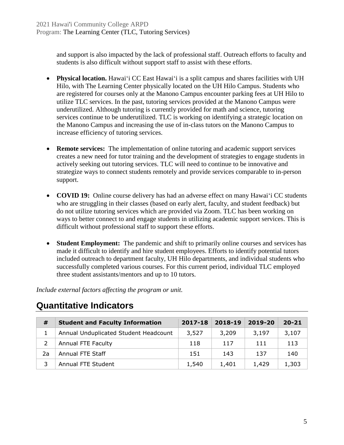and support is also impacted by the lack of professional staff. Outreach efforts to faculty and students is also difficult without support staff to assist with these efforts.

- **Physical location.** Hawai'i CC East Hawai'i is a split campus and shares facilities with UH Hilo, with The Learning Center physically located on the UH Hilo Campus. Students who are registered for courses only at the Manono Campus encounter parking fees at UH Hilo to utilize TLC services. In the past, tutoring services provided at the Manono Campus were underutilized. Although tutoring is currently provided for math and science, tutoring services continue to be underutilized. TLC is working on identifying a strategic location on the Manono Campus and increasing the use of in-class tutors on the Manono Campus to increase efficiency of tutoring services.
- **Remote services:** The implementation of online tutoring and academic support services creates a new need for tutor training and the development of strategies to engage students in actively seeking out tutoring services. TLC will need to continue to be innovative and strategize ways to connect students remotely and provide services comparable to in-person support.
- **COVID 19:** Online course delivery has had an adverse effect on many Hawai'i CC students who are struggling in their classes (based on early alert, faculty, and student feedback) but do not utilize tutoring services which are provided via Zoom. TLC has been working on ways to better connect to and engage students in utilizing academic support services. This is difficult without professional staff to support these efforts.
- **Student Employment:** The pandemic and shift to primarily online courses and services has made it difficult to identify and hire student employees. Efforts to identify potential tutors included outreach to department faculty, UH Hilo departments, and individual students who successfully completed various courses. For this current period, individual TLC employed three student assistants/mentors and up to 10 tutors.

*Include external factors affecting the program or unit.*

| #  | <b>Student and Faculty Information</b> | 2017-18 | 2018-19 | 2019-20 | $20 - 21$ |
|----|----------------------------------------|---------|---------|---------|-----------|
|    | Annual Unduplicated Student Headcount  | 3,527   | 3,209   | 3,197   | 3,107     |
|    | Annual FTE Faculty                     | 118     | 117     | 111     | 113       |
| 2a | Annual FTE Staff                       | 151     | 143     | 137     | 140       |
|    | Annual FTE Student                     | 1,540   | 1,401   | 1,429   | 1,303     |

### **Quantitative Indicators**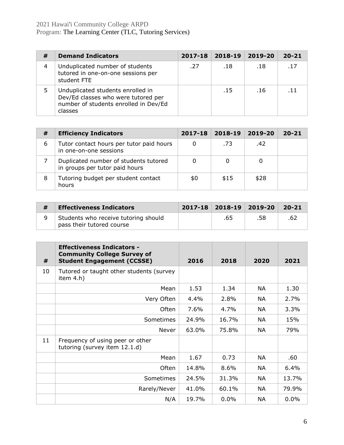#### 2021 Hawai'i Community College ARPD Program: The Learning Center (TLC, Tutoring Services)

| # | <b>Demand Indicators</b>                                                                                                     | 2017-18 | 2018-19 | 2019-20 | $20 - 21$ |
|---|------------------------------------------------------------------------------------------------------------------------------|---------|---------|---------|-----------|
| 4 | Unduplicated number of students<br>tutored in one-on-one sessions per<br>student FTE                                         | .27     | .18     | .18     | .17       |
| 5 | Unduplicated students enrolled in<br>Dev/Ed classes who were tutored per<br>number of students enrolled in Dev/Ed<br>classes |         | .15     | .16     | $-11$     |

| # | <b>Efficiency Indicators</b>                                            | $2017 - 18$ | 2018-19 | 2019-20 | $20 - 21$ |
|---|-------------------------------------------------------------------------|-------------|---------|---------|-----------|
| 6 | Tutor contact hours per tutor paid hours<br>in one-on-one sessions      |             | .73     | .42     |           |
|   | Duplicated number of students tutored<br>in groups per tutor paid hours |             |         |         |           |
| 8 | Tutoring budget per student contact<br>hours                            | \$0         | \$15    | \$28    |           |

| <b>Effectiveness Indicators</b>                                   |     | $2017 - 18$ 2018-19 2019-20 | $20 - 21$ |
|-------------------------------------------------------------------|-----|-----------------------------|-----------|
| Students who receive tutoring should<br>pass their tutored course | .65 | .58                         |           |

| #  | <b>Effectiveness Indicators -</b><br><b>Community College Survey of</b><br><b>Student Engagement (CCSSE)</b> | 2016  | 2018    | 2020      | 2021  |
|----|--------------------------------------------------------------------------------------------------------------|-------|---------|-----------|-------|
| 10 | Tutored or taught other students (survey<br>item $4.h$ )                                                     |       |         |           |       |
|    | Mean                                                                                                         | 1.53  | 1.34    | NA        | 1.30  |
|    | Very Often                                                                                                   | 4.4%  | 2.8%    | NA        | 2.7%  |
|    | Often                                                                                                        | 7.6%  | 4.7%    | NA        | 3.3%  |
|    | Sometimes                                                                                                    | 24.9% | 16.7%   | NA        | 15%   |
|    | Never                                                                                                        | 63.0% | 75.8%   | <b>NA</b> | 79%   |
| 11 | Frequency of using peer or other<br>tutoring (survey item 12.1.d)                                            |       |         |           |       |
|    | Mean                                                                                                         | 1.67  | 0.73    | NA.       | .60   |
|    | Often                                                                                                        | 14.8% | 8.6%    | <b>NA</b> | 6.4%  |
|    | <b>Sometimes</b>                                                                                             | 24.5% | 31.3%   | NA        | 13.7% |
|    | Rarely/Never                                                                                                 | 41.0% | 60.1%   | NA        | 79.9% |
|    | N/A                                                                                                          | 19.7% | $0.0\%$ | <b>NA</b> | 0.0%  |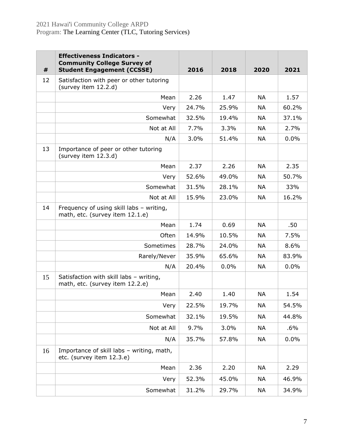| #  | <b>Effectiveness Indicators -</b><br><b>Community College Survey of</b><br><b>Student Engagement (CCSSE)</b> | 2016  | 2018  | 2020      | 2021   |
|----|--------------------------------------------------------------------------------------------------------------|-------|-------|-----------|--------|
| 12 | Satisfaction with peer or other tutoring<br>(survey item 12.2.d)                                             |       |       |           |        |
|    | Mean                                                                                                         | 2.26  | 1.47  | <b>NA</b> | 1.57   |
|    | Very                                                                                                         | 24.7% | 25.9% | NA        | 60.2%  |
|    | Somewhat                                                                                                     | 32.5% | 19.4% | <b>NA</b> | 37.1%  |
|    | Not at All                                                                                                   | 7.7%  | 3.3%  | NA        | 2.7%   |
|    | N/A                                                                                                          | 3.0%  | 51.4% | <b>NA</b> | 0.0%   |
| 13 | Importance of peer or other tutoring<br>(survey item 12.3.d)                                                 |       |       |           |        |
|    | Mean                                                                                                         | 2.37  | 2.26  | <b>NA</b> | 2.35   |
|    | Very                                                                                                         | 52.6% | 49.0% | <b>NA</b> | 50.7%  |
|    | Somewhat                                                                                                     | 31.5% | 28.1% | <b>NA</b> | 33%    |
|    | Not at All                                                                                                   | 15.9% | 23.0% | <b>NA</b> | 16.2%  |
| 14 | Frequency of using skill labs - writing,<br>math, etc. (survey item 12.1.e)                                  |       |       |           |        |
|    | Mean                                                                                                         | 1.74  | 0.69  | <b>NA</b> | .50    |
|    | Often                                                                                                        | 14.9% | 10.5% | NA        | 7.5%   |
|    | Sometimes                                                                                                    | 28.7% | 24.0% | <b>NA</b> | 8.6%   |
|    | Rarely/Never                                                                                                 | 35.9% | 65.6% | <b>NA</b> | 83.9%  |
|    | N/A                                                                                                          | 20.4% | 0.0%  | <b>NA</b> | 0.0%   |
| 15 | Satisfaction with skill labs - writing,<br>math, etc. (survey item 12.2.e)                                   |       |       |           |        |
|    | Mean                                                                                                         | 2.40  | 1.40  | <b>NA</b> | 1.54   |
|    | Very                                                                                                         | 22.5% | 19.7% | <b>NA</b> | 54.5%  |
|    | Somewhat                                                                                                     | 32.1% | 19.5% | <b>NA</b> | 44.8%  |
|    | Not at All                                                                                                   | 9.7%  | 3.0%  | <b>NA</b> | $.6\%$ |
|    | N/A                                                                                                          | 35.7% | 57.8% | NA        | 0.0%   |
| 16 | Importance of skill labs - writing, math,<br>etc. (survey item 12.3.e)                                       |       |       |           |        |
|    | Mean                                                                                                         | 2.36  | 2.20  | <b>NA</b> | 2.29   |
|    | Very                                                                                                         | 52.3% | 45.0% | <b>NA</b> | 46.9%  |
|    | Somewhat                                                                                                     | 31.2% | 29.7% | NA        | 34.9%  |
|    |                                                                                                              |       |       |           |        |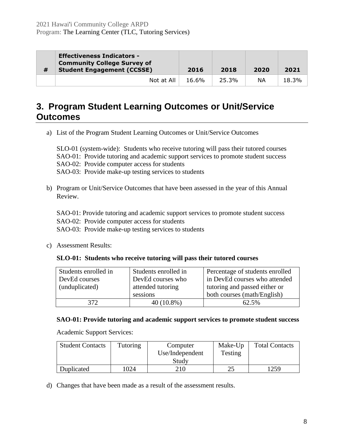| # | <b>Effectiveness Indicators -</b><br><b>Community College Survey of</b><br><b>Student Engagement (CCSSE)</b> | 2016  | 2018  | 2020 | 2021  |
|---|--------------------------------------------------------------------------------------------------------------|-------|-------|------|-------|
|   | Not at All                                                                                                   | 16.6% | 25.3% | ΝA   | 18.3% |

### **3. Program Student Learning Outcomes or Unit/Service Outcomes**

a) List of the Program Student Learning Outcomes or Unit/Service Outcomes

SLO-01 (system-wide): Students who receive tutoring will pass their tutored courses SAO-01: Provide tutoring and academic support services to promote student success SAO-02: Provide computer access for students SAO-03: Provide make-up testing services to students

b) Program or Unit/Service Outcomes that have been assessed in the year of this Annual Review.

SAO-01: Provide tutoring and academic support services to promote student success

SAO-02: Provide computer access for students

SAO-03: Provide make-up testing services to students

c) Assessment Results:

#### **SLO-01: Students who receive tutoring will pass their tutored courses**

| Students enrolled in | Students enrolled in | Percentage of students enrolled |
|----------------------|----------------------|---------------------------------|
| DevEd courses        | DevEd courses who    | in DevEd courses who attended   |
| (unduplicated)       | attended tutoring    | tutoring and passed either or   |
|                      | sessions             | both courses (math/English)     |
| 372                  | $40(10.8\%)$         | 62.5%                           |

#### **SAO-01: Provide tutoring and academic support services to promote student success**

Academic Support Services:

| <b>Student Contacts</b> | <b>Tutoring</b> | Computer        | Make-Up | <b>Total Contacts</b> |
|-------------------------|-----------------|-----------------|---------|-----------------------|
|                         |                 | Use/Independent | Testing |                       |
|                         |                 | Study           |         |                       |
| Duplicated              | 024             | 210             | 25      | 1259                  |

d) Changes that have been made as a result of the assessment results.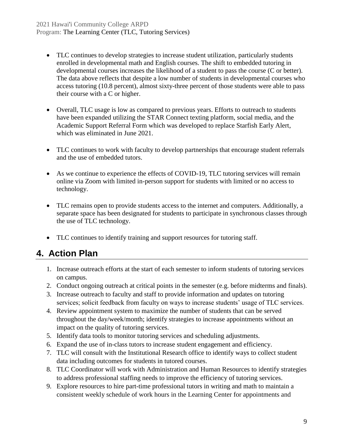- TLC continues to develop strategies to increase student utilization, particularly students enrolled in developmental math and English courses. The shift to embedded tutoring in developmental courses increases the likelihood of a student to pass the course (C or better). The data above reflects that despite a low number of students in developmental courses who access tutoring (10.8 percent), almost sixty-three percent of those students were able to pass their course with a C or higher.
- Overall, TLC usage is low as compared to previous years. Efforts to outreach to students have been expanded utilizing the STAR Connect texting platform, social media, and the Academic Support Referral Form which was developed to replace Starfish Early Alert, which was eliminated in June 2021.
- TLC continues to work with faculty to develop partnerships that encourage student referrals and the use of embedded tutors.
- As we continue to experience the effects of COVID-19, TLC tutoring services will remain online via Zoom with limited in-person support for students with limited or no access to technology.
- TLC remains open to provide students access to the internet and computers. Additionally, a separate space has been designated for students to participate in synchronous classes through the use of TLC technology.
- TLC continues to identify training and support resources for tutoring staff.

### **4. Action Plan**

- 1. Increase outreach efforts at the start of each semester to inform students of tutoring services on campus.
- 2. Conduct ongoing outreach at critical points in the semester (e.g. before midterms and finals).
- 3. Increase outreach to faculty and staff to provide information and updates on tutoring services; solicit feedback from faculty on ways to increase students' usage of TLC services.
- 4. Review appointment system to maximize the number of students that can be served throughout the day/week/month; identify strategies to increase appointments without an impact on the quality of tutoring services.
- 5. Identify data tools to monitor tutoring services and scheduling adjustments.
- 6. Expand the use of in-class tutors to increase student engagement and efficiency.
- 7. TLC will consult with the Institutional Research office to identify ways to collect student data including outcomes for students in tutored courses.
- 8. TLC Coordinator will work with Administration and Human Resources to identify strategies to address professional staffing needs to improve the efficiency of tutoring services.
- 9. Explore resources to hire part-time professional tutors in writing and math to maintain a consistent weekly schedule of work hours in the Learning Center for appointments and